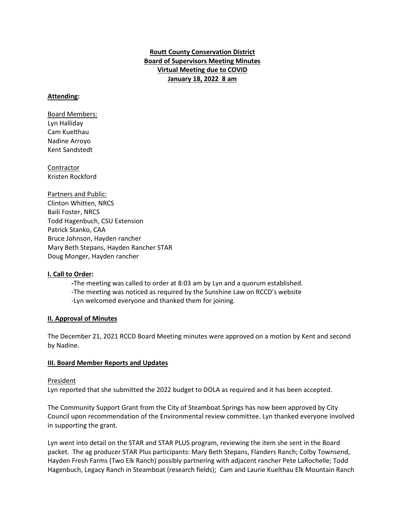# **Routt County Conservation District Board of Supervisors Meeting Minutes Virtual Meeting due to COVID January 18, 2022 8 am**

### **Attending:**

Board Members: Lyn Halliday Cam Kuelthau Nadine Arroyo Kent Sandstedt

Contractor Kristen Rockford

Partners and Public: Clinton Whitten, NRCS Baili Foster, NRCS Todd Hagenbuch, CSU Extension Patrick Stanko, CAA Bruce Johnson, Hayden rancher Mary Beth Stepans, Hayden Rancher STAR Doug Monger, Hayden rancher

### **I. Call to Order:**

**-**The meeting was called to order at 8:03 am by Lyn and a quorum established.

-The meeting was noticed as required by the Sunshine Law on RCCD's website

-Lyn welcomed everyone and thanked them for joining.

### **II. Approval of Minutes**

The December 21, 2021 RCCD Board Meeting minutes were approved on a motion by Kent and second by Nadine.

## **III. Board Member Reports and Updates**

### President

Lyn reported that she submitted the 2022 budget to DOLA as required and it has been accepted.

The Community Support Grant from the City of Steamboat Springs has now been approved by City Council upon recommendation of the Environmental review committee. Lyn thanked everyone involved in supporting the grant.

Lyn went into detail on the STAR and STAR PLUS program, reviewing the item she sent in the Board packet. The ag producer STAR Plus participants: Mary Beth Stepans, Flanders Ranch; Colby Townsend, Hayden Fresh Farms (Two Elk Ranch) possibly partnering with adjacent rancher Pete LaRochelle; Todd Hagenbuch, Legacy Ranch in Steamboat (research fields); Cam and Laurie Kuelthau Elk Mountain Ranch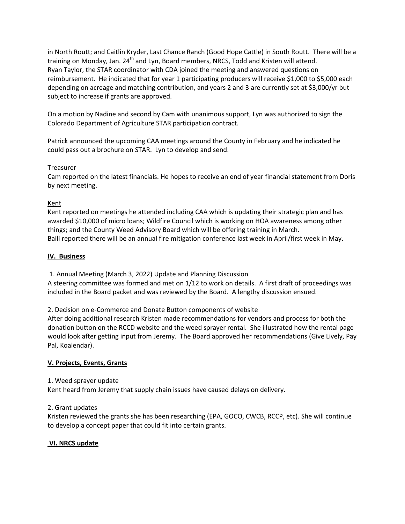in North Routt; and Caitlin Kryder, Last Chance Ranch (Good Hope Cattle) in South Routt. There will be a training on Monday, Jan. 24<sup>th</sup> and Lyn, Board members, NRCS, Todd and Kristen will attend. Ryan Taylor, the STAR coordinator with CDA joined the meeting and answered questions on reimbursement. He indicated that for year 1 participating producers will receive \$1,000 to \$5,000 each depending on acreage and matching contribution, and years 2 and 3 are currently set at \$3,000/yr but subject to increase if grants are approved.

On a motion by Nadine and second by Cam with unanimous support, Lyn was authorized to sign the Colorado Department of Agriculture STAR participation contract.

Patrick announced the upcoming CAA meetings around the County in February and he indicated he could pass out a brochure on STAR. Lyn to develop and send.

## Treasurer

Cam reported on the latest financials. He hopes to receive an end of year financial statement from Doris by next meeting.

## Kent

Kent reported on meetings he attended including CAA which is updating their strategic plan and has awarded \$10,000 of micro loans; Wildfire Council which is working on HOA awareness among other things; and the County Weed Advisory Board which will be offering training in March. Baili reported there will be an annual fire mitigation conference last week in April/first week in May.

## **IV. Business**

1. Annual Meeting (March 3, 2022) Update and Planning Discussion

A steering committee was formed and met on 1/12 to work on details. A first draft of proceedings was included in the Board packet and was reviewed by the Board. A lengthy discussion ensued.

2. Decision on e-Commerce and Donate Button components of website

After doing additional research Kristen made recommendations for vendors and process for both the donation button on the RCCD website and the weed sprayer rental. She illustrated how the rental page would look after getting input from Jeremy. The Board approved her recommendations (Give Lively, Pay Pal, Koalendar).

# **V. Projects, Events, Grants**

1. Weed sprayer update

Kent heard from Jeremy that supply chain issues have caused delays on delivery.

2. Grant updates

Kristen reviewed the grants she has been researching (EPA, GOCO, CWCB, RCCP, etc). She will continue to develop a concept paper that could fit into certain grants.

# **VI. NRCS update**